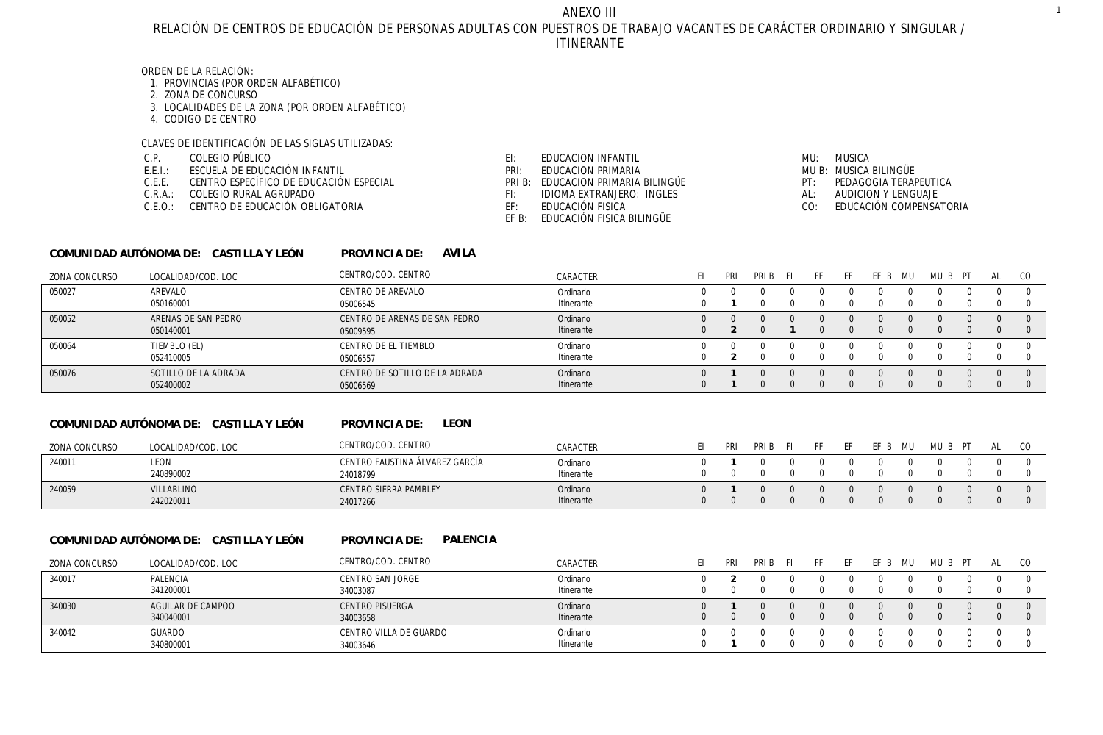RELACIÓN DE CENTROS DE EDUCACIÓN DE PERSONAS ADULTAS CON PUESTROS DE TRABAJO VACANTES DE CARÁCTER ORDINARIO Y SINGULAR / ITINERANTE ANEXO III

# ORDEN DE LA RELACIÓN:

- 1. PROVINCIAS (POR ORDEN ALFABÉTICO)
- 2. ZONA DE CONCURSO
- 3. LOCALIDADES DE LA ZONA (POR ORDEN ALFABÉTICO)
- 4. CODIGO DE CENTRO

### CLAVES DE IDENTIFICACIÓN DE LAS SIGLAS UTILIZADAS:

COLEGIO PÚBLICO C.P.

**COMUNIDAD AUTÓNOMA DE: CASTILLA Y LEÓN**

- ESCUELA DE EDUCACIÓN INFANTIL E.E.I.:
- CENTRO ESPECÍFICO DE EDUCACIÓN ESPECIAL C.E.E.
- C.R.A.: COLEGIO RURAL AGRUPADO
- C.E.O.: CENTRO DE EDUCACIÓN OBLIGATORIA
- EDUCACION INFANTIL EI:
- EDUCACION PRIMARIA PRI:
- PRI B: EDUCACION PRIMARIA BILINGÜE
- IDIOMA EXTRANJERO: INGLES FI:
- EDUCACIÓN FISICA EF:
	- EF B: EDUCACIÓN FISICA BILINGÜE

# MU: MUSICA MUSICA BILINGÜE MU B: PT: PEDAGOGIA TERAPEUTICA AL: AUDICION Y LENGUAJE

0 **1** 0 0 0 0 0 0 0 0 0 0

0 0 0 0 0 0 0 0 0 0 0 0

EDUCACIÓN COMPENSATORIA  $CO<sub>1</sub>$ 

| ZONA CONCURSO | LOCALIDAD/COD, LOC                     | CENTRO/COD. CENTRO             | CARACTER   | EI.          | PRI | PRI B    | - FI         | FF  | EF  | EF B    | MU | MUB PT   |          | AL | <sub>CO</sub> |
|---------------|----------------------------------------|--------------------------------|------------|--------------|-----|----------|--------------|-----|-----|---------|----|----------|----------|----|---------------|
| 050027        | AREVALO                                | CENTRO DE AREVALO              | Ordinario  | <sup>0</sup> |     | $\Omega$ | $\Omega$     |     |     |         |    | $\Omega$ | $\Omega$ |    | - 0           |
|               | 050160001                              | 05006545                       | Itinerante | 0            |     |          | 0            |     |     |         |    |          | $\Omega$ |    | $\Omega$      |
| 050052        | ARENAS DE SAN PEDRO                    | CENTRO DE ARENAS DE SAN PEDRO  | Ordinario  | $\Omega$     |     | $\Omega$ | 0            |     |     |         |    | $\Omega$ |          |    | $\Omega$      |
|               | 050140001                              | 05009595                       | Itinerante | $\Omega$     |     |          |              |     |     |         |    | $\Omega$ | $\Omega$ |    | $\Omega$      |
| 050064        | TIEMBLO (EL)                           | CENTRO DE EL TIEMBLO           | Ordinario  |              |     |          |              |     |     |         |    |          |          |    |               |
|               | 052410005                              | 05006557                       | Itinerante | 0            |     |          |              |     |     |         |    |          |          |    | -0            |
| 050076        | SOTILLO DE LA ADRADA                   | CENTRO DE SOTILLO DE LA ADRADA | Ordinario  | U            |     |          | <sup>n</sup> |     |     |         |    | $\Omega$ |          |    | $\Omega$      |
|               | 052400002                              | 05006569                       | Itinerante | $\mathbf{0}$ |     |          | $\Omega$     |     |     |         |    |          | $\Omega$ |    | $\Omega$      |
|               | COMUNIDAD AUTÓNOMA DE: CASTILLA Y LEÓN | LEON<br>PROVINCIA DE:          |            |              |     |          |              |     |     |         |    |          |          |    |               |
| ZONA CONCURSO | LOCALIDAD/COD, LOC                     | CENTRO/COD. CENTRO             | CARACTER   | FI.          | PRI | PRIB FI  |              | FF. | FF. | EF B MU |    | MUB PT   |          | AL | CO            |
| 240011        | LEON                                   | CENTRO FAUSTINA ÁLVAREZ GARCÍA | Ordinario  | U            |     |          |              |     |     |         |    |          |          |    | $\Omega$      |
|               | 240890002                              | 24018799                       | Itinerante | 0            |     |          |              |     |     |         |    |          |          |    | $\Omega$      |

### **COMUNIDAD AUTÓNOMA DE: CASTILLA Y LEÓN**

242020011

VILLABLINO

240059

**PALENCIA PROVINCIA DE:** 

24017266

CENTRO SIERRA PAMBLEY

**AVILA**

**PROVINCIA DE:** 

| <b>ZONA CONCURSO</b> | LOCALIDAD/COD, LOC             | CENTRO/COD. CENTRO                 | CARACTER                | PRI | PRI B | FF. |  | MU. | MU | AL |  |
|----------------------|--------------------------------|------------------------------------|-------------------------|-----|-------|-----|--|-----|----|----|--|
| 340017               | PALENCIA<br>341200001          | CENTRO SAN JORGE<br>34003087       | Ordinario<br>Itinerante |     |       |     |  |     |    |    |  |
| 340030               | AGUILAR DE CAMPOO<br>340040001 | <b>CENTRO PISUERGA</b><br>34003658 | Ordinario<br>Itinerante |     |       |     |  |     |    |    |  |
| 340042               | <b>GUARDO</b><br>340800001     | CENTRO VILLA DE GUARDO<br>34003646 | Ordinario<br>Itinerante |     |       |     |  |     |    |    |  |

Ordinario

Itinerante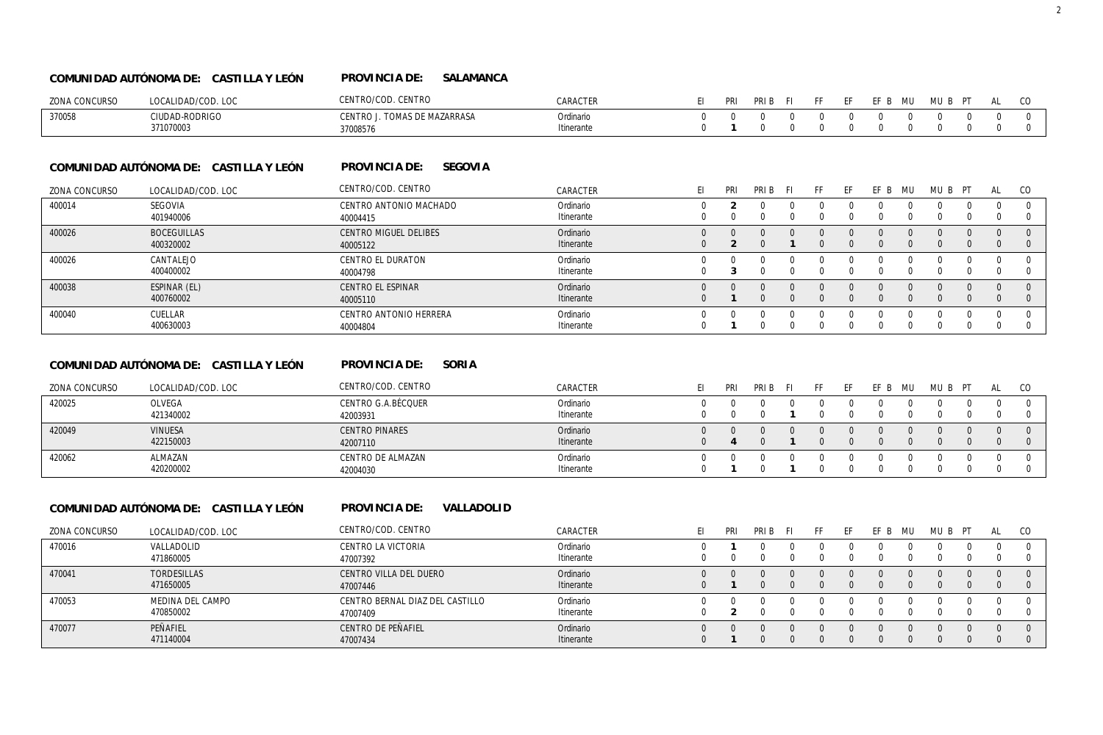#### **SALAMANCA COMUNIDAD AUTÓNOMA DE: CASTILLA Y LEÓN PROVINCIA DE:**

| ZONA CONCURSO | LOCALIDAD/COD. LOC          | CENTRO/COD. CENTRO                              | $\cap$ ARACTER         | PRI | PRIB FI | FF. | <b>FF</b> | EFB MU MUBPT |                              |  | AL CO |  |
|---------------|-----------------------------|-------------------------------------------------|------------------------|-----|---------|-----|-----------|--------------|------------------------------|--|-------|--|
| 370058        | CIUDAD-RODRIGC<br>371070003 | CENTRO J. TOMAS DE MAZARRASA<br><u>ን7008576</u> | Ordinario<br>tinerante |     |         |     |           |              | $\mathbf{u}$<br>$\mathbf{u}$ |  |       |  |

#### **SEGOVIA COMUNIDAD AUTÓNOMA DE: CASTILLA Y LEÓN PROVINCIA DE:**

| ZONA CONCURSO | LOCALIDAD/COD. LOC              | CENTRO/COD. CENTRO                   | CARACTER                | PRI | PRI B | . E. | FF. | НF. | FF B | MU | MUB PT | AL | CO |
|---------------|---------------------------------|--------------------------------------|-------------------------|-----|-------|------|-----|-----|------|----|--------|----|----|
| 400014        | SEGOVIA<br>401940006            | CENTRO ANTONIO MACHADO<br>40004415   | Ordinario<br>Itinerante |     |       |      |     |     |      |    |        |    |    |
| 400026        | <b>BOCEGUILLAS</b><br>400320002 | CENTRO MIGUEL DELIBES<br>40005122    | Ordinario<br>Itinerante |     |       |      |     |     |      |    |        |    |    |
| 400026        | CANTALEJO<br>400400002          | <b>CENTRO EL DURATON</b><br>40004798 | Ordinario<br>Itinerante |     |       |      |     |     |      |    |        |    |    |
| 400038        | ESPINAR (EL)<br>400760002       | CENTRO EL ESPINAR<br>40005110        | Ordinario<br>Itinerante |     |       |      |     |     |      |    |        |    |    |
| 400040        | <b>CUFLLAR</b><br>400630003     | CENTRO ANTONIO HERRERA<br>40004804   | Ordinario<br>Itinerante |     |       |      |     |     |      |    |        |    |    |

#### **SORIA COMUNIDAD AUTÓNOMA DE: CASTILLA Y LEÓN PROVINCIA DE:**

| ZONA CONCURSO | LOCALIDAD/COD, LOC | CENTRO/COD. CENTRO    | CARACTER   |             | <b>PRI</b> | PRI B | FF. |  | ML. | MI I | AL |  |
|---------------|--------------------|-----------------------|------------|-------------|------------|-------|-----|--|-----|------|----|--|
| 420025        | <b>OLVEGA</b>      | CENTRO G.A.BÉCQUER    | Ordinario  |             |            |       |     |  |     |      |    |  |
|               | 421340002          | 42003931              | Itinerante |             |            |       |     |  |     |      |    |  |
| 420049        | <b>VINUESA</b>     | <b>CENTRO PINARES</b> | Ordinario  | $^{\prime}$ |            |       |     |  |     |      |    |  |
|               | 422150003          | 42007110              | Itinerante |             |            |       |     |  |     |      |    |  |
| 420062        | ALMAZAN            | CENTRO DE ALMAZAN     | Ordinario  |             |            |       |     |  |     |      |    |  |
|               | 420200002          | 42004030              | Itinerante |             |            |       |     |  |     |      |    |  |

# **COMUNIDAD AUTÓNOMA DE: CASTILLA Y LEÓN**

**VALLADOLID PROVINCIA DE:** 

| ZONA CONCURSO | LOCALIDAD/COD. LOC | CENTRO/COD. CENTRO              | CARACTER   | PRI | pri B |  | FF B | MU | MU B | ÞТ | AL       | - CO |
|---------------|--------------------|---------------------------------|------------|-----|-------|--|------|----|------|----|----------|------|
| 470016        | VALLADOLID         | CENTRO LA VICTORIA              | Ordinario  |     |       |  |      |    |      |    |          |      |
|               | 471860005          | 47007392                        | Itinerante |     |       |  |      |    |      |    |          |      |
| 470041        | <b>TORDESILLAS</b> | CENTRO VILLA DEL DUERO          | Ordinario  |     |       |  |      |    |      |    | $\Omega$ |      |
|               | 471650005          | 47007446                        | Itinerante |     |       |  |      |    |      |    | $\Omega$ |      |
| 470053        | MEDINA DEL CAMPO   | CENTRO BERNAL DIAZ DEL CASTILLO | Ordinario  |     |       |  |      |    |      |    |          |      |
|               | 470850002          | 47007409                        | Itinerante |     |       |  |      |    |      |    |          |      |
| 470077        | PFÑAFIFL           | CENTRO DE PEÑAFIEL              | Ordinario  |     |       |  |      |    |      |    |          |      |
|               | 471140004          | 47007434                        | Itinerante |     |       |  |      |    |      |    |          |      |